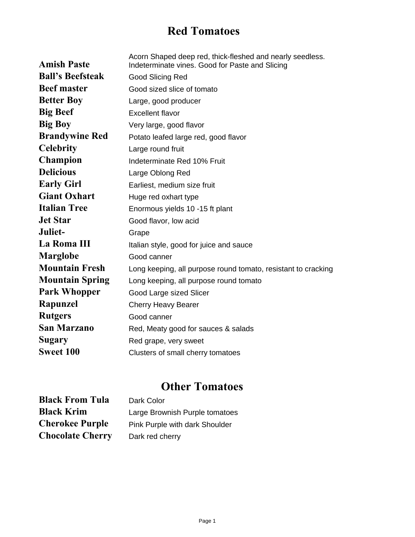## **Red Tomatoes**

| <b>Amish Paste</b>      | Acorn Shaped deep red, thick-fleshed and nearly seedless.<br>Indeterminate vines. Good for Paste and Slicing |
|-------------------------|--------------------------------------------------------------------------------------------------------------|
| <b>Ball's Beefsteak</b> | Good Slicing Red                                                                                             |
| <b>Beef master</b>      | Good sized slice of tomato                                                                                   |
| <b>Better Boy</b>       | Large, good producer                                                                                         |
| <b>Big Beef</b>         | <b>Excellent flavor</b>                                                                                      |
| <b>Big Boy</b>          | Very large, good flavor                                                                                      |
| <b>Brandywine Red</b>   | Potato leafed large red, good flavor                                                                         |
| <b>Celebrity</b>        | Large round fruit                                                                                            |
| <b>Champion</b>         | Indeterminate Red 10% Fruit                                                                                  |
| <b>Delicious</b>        | Large Oblong Red                                                                                             |
| <b>Early Girl</b>       | Earliest, medium size fruit                                                                                  |
| <b>Giant Oxhart</b>     | Huge red oxhart type                                                                                         |
| <b>Italian Tree</b>     | Enormous yields 10 -15 ft plant                                                                              |
| <b>Jet Star</b>         | Good flavor, low acid                                                                                        |
| Juliet-                 | Grape                                                                                                        |
| La Roma III             | Italian style, good for juice and sauce                                                                      |
| <b>Marglobe</b>         | Good canner                                                                                                  |
| <b>Mountain Fresh</b>   | Long keeping, all purpose round tomato, resistant to cracking                                                |
| <b>Mountain Spring</b>  | Long keeping, all purpose round tomato                                                                       |
| <b>Park Whopper</b>     | Good Large sized Slicer                                                                                      |
| Rapunzel                | Cherry Heavy Bearer                                                                                          |
| <b>Rutgers</b>          | Good canner                                                                                                  |
| San Marzano             | Red, Meaty good for sauces & salads                                                                          |
| <b>Sugary</b>           | Red grape, very sweet                                                                                        |
| <b>Sweet 100</b>        | Clusters of small cherry tomatoes                                                                            |

## **Other Tomatoes**

| <b>Black From Tula</b>  | Dark Color                     |
|-------------------------|--------------------------------|
| <b>Black Krim</b>       | Large Brownish Purple tomatoes |
| <b>Cherokee Purple</b>  | Pink Purple with dark Shoulder |
| <b>Chocolate Cherry</b> | Dark red cherry                |